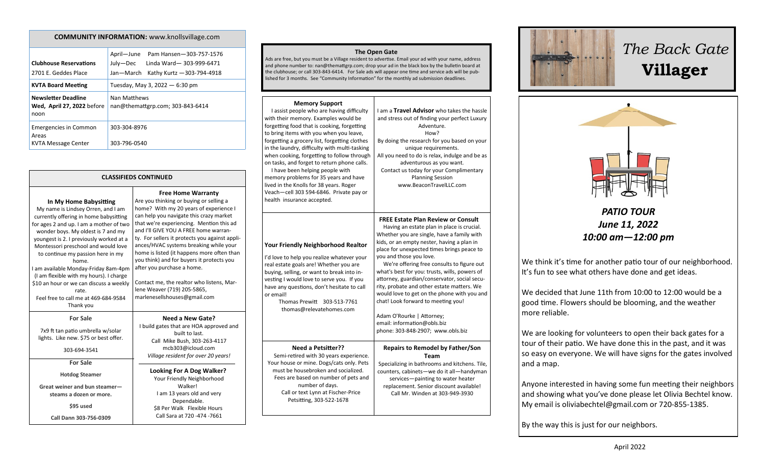| <b>COMMUNITY INFORMATION:</b> www.knollsvillage.com                 |                                                                                                                         |  |
|---------------------------------------------------------------------|-------------------------------------------------------------------------------------------------------------------------|--|
| <b>Clubhouse Reservations</b><br>2701 E. Geddes Place               | April—June<br>Pam Hansen-303-757-1576<br>July-Dec<br>Linda Ward-303-999-6471<br>Jan-March<br>Kathy Kurtz - 303-794-4918 |  |
| <b>KVTA Board Meeting</b>                                           | Tuesday, May 3, 2022 $-6:30$ pm                                                                                         |  |
| <b>Newsletter Deadline</b><br>Wed, April 27, 2022 before<br>noon    | Nan Matthews<br>nan@themattgrp.com; 303-843-6414                                                                        |  |
| <b>Emergencies in Common</b><br>Areas<br><b>KVTA Message Center</b> | 303-304-8976<br>303-796-0540                                                                                            |  |

|                                                                                                                                                                                                                                                                                                                                                                                                                                                                                                                     | <b>CLASSIFIEDS CONTINUED</b>                                                                                                                                                                                                                                       |
|---------------------------------------------------------------------------------------------------------------------------------------------------------------------------------------------------------------------------------------------------------------------------------------------------------------------------------------------------------------------------------------------------------------------------------------------------------------------------------------------------------------------|--------------------------------------------------------------------------------------------------------------------------------------------------------------------------------------------------------------------------------------------------------------------|
| In My Home Babysitting<br>My name is Lindsey Orren, and I am<br>currently offering in home babysitting<br>for ages 2 and up. I am a mother of two<br>wonder boys. My oldest is 7 and my<br>youngest is 2. I previously worked at a<br>Montessori preschool and would love<br>to continue my passion here in my<br>home.<br>I am available Monday-Friday 8am-4pm<br>(I am flexible with my hours). I charge<br>\$10 an hour or we can discuss a weekly<br>rate.<br>Feel free to call me at 469-684-9584<br>Thank you | Free<br>Are you thinking<br>home? With my<br>can help you na<br>that we're expe<br>and I'll GIVE YOI<br>ty. For sellers it<br>ances/HVAC sys<br>home is listed (i<br>you think) and f<br>after you purcha<br>Contact me, the<br>lene Weaver (71<br>marlenesellshou |
| <b>For Sale</b><br>7x9 ft tan patio umbrella w/solar<br>lights. Like new. \$75 or best offer.<br>303-694-3541                                                                                                                                                                                                                                                                                                                                                                                                       | Nee<br>I build gates th<br>Call Mike<br>mcb.<br>Village resi                                                                                                                                                                                                       |
| <b>For Sale</b><br><b>Hotdog Steamer</b><br>Great weiner and bun steamer-                                                                                                                                                                                                                                                                                                                                                                                                                                           | Looking<br>Your Frie                                                                                                                                                                                                                                               |
| steams a dozen or more.<br>\$95 used<br>Call Dann 303-756-0309                                                                                                                                                                                                                                                                                                                                                                                                                                                      | I am 13<br>\$8 Per V<br>Call Sar                                                                                                                                                                                                                                   |

**Home Warranty** g or buying or selling a y 20 years of experience I vigate this crazy market riencing. Mention this ad U A FREE home warranprotects you against applistems breaking while your it happens more often than for buyers it protects you ase a home. realtor who listens, Mar-19) 205-5865, uses@gmail.com **d a New Gate?** hat are HOA approved and built to last. e Bush, 303-263-4117 303@icloud.com *Village resident for over 20 years!* For A Dog Walker? endly Neighborhood Walker!

### years old and very Dependable. Walk Flexible Hours Call Sara at 720 -474 -7661

| The Open Gate<br>Ads are free, but you must be a Village resident to advertise. Email your ad with your name, address<br>and phone number to: nan@themattgrp.com; drop your ad in the black box by the bulletin board at<br>the clubhouse; or call 303-843-6414. For Sale ads will appear one time and service ads will be pub-<br>lished for 3 months. See "Community Information" for the monthly ad submission deadlines.                                                                                                                                                                        |                                                                                                                                                                                                                                                                                                                                                                                                                                                                                                                                                                                                                                                 |  |
|-----------------------------------------------------------------------------------------------------------------------------------------------------------------------------------------------------------------------------------------------------------------------------------------------------------------------------------------------------------------------------------------------------------------------------------------------------------------------------------------------------------------------------------------------------------------------------------------------------|-------------------------------------------------------------------------------------------------------------------------------------------------------------------------------------------------------------------------------------------------------------------------------------------------------------------------------------------------------------------------------------------------------------------------------------------------------------------------------------------------------------------------------------------------------------------------------------------------------------------------------------------------|--|
|                                                                                                                                                                                                                                                                                                                                                                                                                                                                                                                                                                                                     |                                                                                                                                                                                                                                                                                                                                                                                                                                                                                                                                                                                                                                                 |  |
| <b>Memory Support</b><br>I assist people who are having difficulty<br>with their memory. Examples would be<br>forgetting food that is cooking, forgetting<br>to bring items with you when you leave,<br>forgetting a grocery list, forgetting clothes<br>in the laundry, difficulty with multi-tasking<br>when cooking, forgetting to follow through<br>on tasks, and forget to return phone calls.<br>I have been helping people with<br>memory problems for 35 years and have<br>lived in the Knolls for 38 years. Roger<br>Veach-cell 303 594-6846. Private pay or<br>health insurance accepted. | I am a Travel Advisor who takes the hassle<br>and stress out of finding your perfect Luxury<br>Adventure.<br>How?<br>By doing the research for you based on your<br>unique requirements.<br>All you need to do is relax, indulge and be as<br>adventurous as you want.<br>Contact us today for your Complimentary<br><b>Planning Session</b><br>www.BeaconTravelLLC.com                                                                                                                                                                                                                                                                         |  |
| <b>Your Friendly Neighborhood Realtor</b><br>I'd love to help you realize whatever your<br>real estate goals are! Whether you are<br>buying, selling, or want to break into in-<br>vesting I would love to serve you. If you<br>have any questions, don't hesitate to call<br>or email!<br>Thomas Prewitt<br>303-513-7761<br>thomas@relevatehomes.com                                                                                                                                                                                                                                               | <b>FREE Estate Plan Review or Consult</b><br>Having an estate plan in place is crucial.<br>Whether you are single, have a family with<br>kids, or an empty nester, having a plan in<br>place for unexpected times brings peace to<br>you and those you love.<br>We're offering free consults to figure out<br>what's best for you: trusts, wills, powers of<br>attorney, guardian/conservator, social secu-<br>rity, probate and other estate matters. We<br>would love to get on the phone with you and<br>chat! Look forward to meeting you!<br>Adam O'Rourke   Attorney;<br>email: information@obls.biz<br>phone: 303-848-2907; www.obls.biz |  |
| <b>Need a Petsitter??</b><br>Semi-retired with 30 years experience.<br>Your house or mine. Dogs/cats only. Pets<br>must be housebroken and socialized.<br>Fees are based on number of pets and<br>number of days.<br>Call or text Lynn at Fischer-Price<br>Petsitting, 303-522-1678                                                                                                                                                                                                                                                                                                                 | <b>Repairs to Remodel by Father/Son</b><br>Team<br>Specializing in bathrooms and kitchens. Tile,<br>counters, cabinets-we do it all-handyman<br>services-painting to water heater<br>replacement. Senior discount available!<br>Call Mr. Winden at 303-949-3930                                                                                                                                                                                                                                                                                                                                                                                 |  |



# *The Back Gate*  **Villager**



*PATIO TOUR June 11, 2022 10:00 am—12:00 pm*

We think it's time for another patio tour of our neighborhood. It's fun to see what others have done and get ideas.

We decided that June 11th from 10:00 to 12:00 would be a good time. Flowers should be blooming, and the weather more reliable.

We are looking for volunteers to open their back gates for a tour of their patio. We have done this in the past, and it was so easy on everyone. We will have signs for the gates involved and a map.

Anyone interested in having some fun meeting their neighbors and showing what you've done please let Olivia Bechtel know. My email is oliviabechtel@gmail.com or 720-855-1385.

By the way this is just for our neighbors.